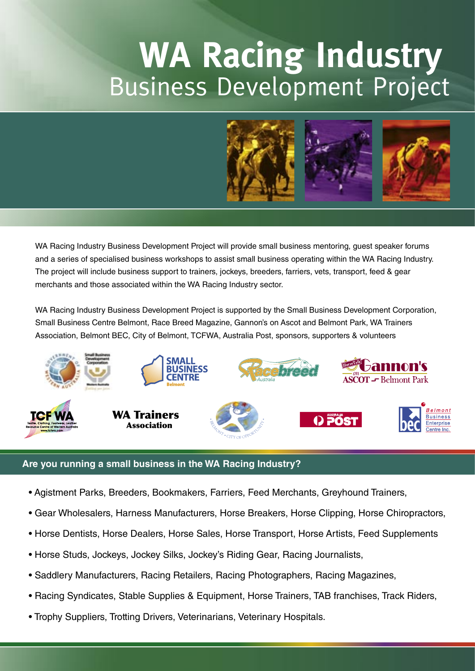## **WA Racing Industry** Business Development Project



WA Racing Industry Business Development Project will provide small business mentoring, guest speaker forums and a series of specialised business workshops to assist small business operating within the WA Racing Industry. The project will include business support to trainers, jockeys, breeders, farriers, vets, transport, feed & gear merchants and those associated within the WA Racing Industry sector.

WA Racing Industry Business Development Project is supported by the Small Business Development Corporation, Small Business Centre Belmont, Race Breed Magazine, Gannon's on Ascot and Belmont Park, WA Trainers Association, Belmont BEC, City of Belmont, TCFWA, Australia Post, sponsors, supporters & volunteers



### **Are you running a small business in the WA Racing Industry?**

- Agistment Parks, Breeders, Bookmakers, Farriers, Feed Merchants, Greyhound Trainers,
- Gear Wholesalers, Harness Manufacturers, Horse Breakers, Horse Clipping, Horse Chiropractors,
- Horse Dentists, Horse Dealers, Horse Sales, Horse Transport, Horse Artists, Feed Supplements
- Horse Studs, Jockeys, Jockey Silks, Jockey's Riding Gear, Racing Journalists,
- Saddlery Manufacturers, Racing Retailers, Racing Photographers, Racing Magazines,
- Racing Syndicates, Stable Supplies & Equipment, Horse Trainers, TAB franchises, Track Riders,
- Trophy Suppliers, Trotting Drivers, Veterinarians, Veterinary Hospitals.